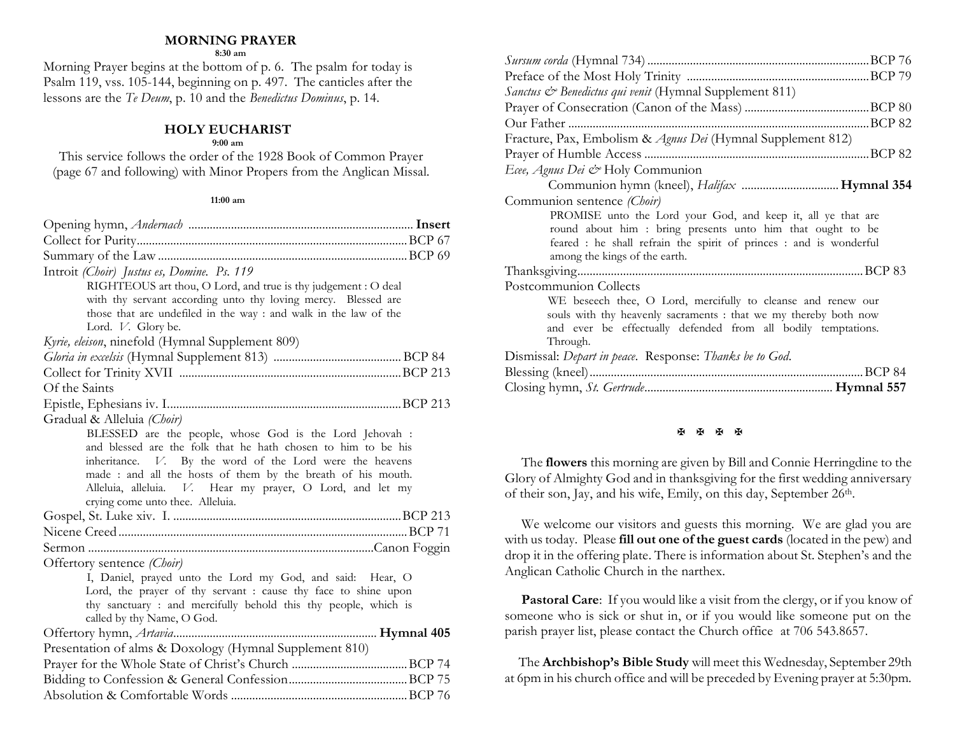## **MORNING PRAYER**

**8:30 am**

Morning Prayer begins at the bottom of p. 6. The psalm for today is Psalm 119, vss. 105-144, beginning on p. 497. The canticles after the lessons are the *Te Deum*, p. 10 and the *Benedictus Dominus*, p. 14.

## **HOLY EUCHARIST**

#### **9:00 am**

This service follows the order of the 1928 Book of Common Prayer (page 67 and following) with Minor Propers from the Anglican Missal.

#### **11:00 am**

| Introit (Choir) Justus es, Domine. Ps. 119                       |
|------------------------------------------------------------------|
| RIGHTEOUS art thou, O Lord, and true is thy judgement : O deal   |
| with thy servant according unto thy loving mercy. Blessed are    |
| those that are undefiled in the way : and walk in the law of the |
| Lord. V. Glory be.                                               |
| Kyrie, eleison, ninefold (Hymnal Supplement 809)                 |
|                                                                  |
|                                                                  |
| Of the Saints                                                    |
|                                                                  |
| Gradual & Alleluia (Choir)                                       |
| BLESSED are the people, whose God is the Lord Jehovah :          |
| and blessed are the folk that he hath chosen to him to be his    |
| inheritance. V. By the word of the Lord were the heavens         |
| made : and all the hosts of them by the breath of his mouth.     |
| Alleluia, alleluia. V. Hear my prayer, O Lord, and let my        |
| crying come unto thee. Alleluia.                                 |
|                                                                  |
|                                                                  |
|                                                                  |
| Offertory sentence (Choir)                                       |
| I, Daniel, prayed unto the Lord my God, and said: Hear, O        |
| Lord, the prayer of thy servant : cause thy face to shine upon   |
| thy sanctuary: and mercifully behold this thy people, which is   |
| called by thy Name, O God.                                       |
|                                                                  |
| Presentation of alms & Doxology (Hymnal Supplement 810)          |
|                                                                  |
|                                                                  |
|                                                                  |

| Sanctus & Benedictus qui venit (Hymnal Supplement 811)             |
|--------------------------------------------------------------------|
|                                                                    |
|                                                                    |
| Fracture, Pax, Embolism & Agnus Dei (Hymnal Supplement 812)        |
|                                                                    |
| Ecee, Agnus Dei & Holy Communion                                   |
|                                                                    |
| Communion sentence (Choir)                                         |
| PROMISE unto the Lord your God, and keep it, all ye that are       |
| round about him: bring presents unto him that ought to be          |
| feared : he shall refrain the spirit of princes : and is wonderful |
| among the kings of the earth.                                      |
|                                                                    |
| Postcommunion Collects                                             |
| WE beseech thee, O Lord, mercifully to cleanse and renew our       |
| souls with thy heavenly sacraments : that we my thereby both now   |
| and ever be effectually defended from all bodily temptations.      |
| Through.                                                           |
| Dismissal: Depart in peace. Response: Thanks be to God.            |
| .BCP 84                                                            |
|                                                                    |

### **K K K K**

The **flowers** this morning are given by Bill and Connie Herringdine to the Glory of Almighty God and in thanksgiving for the first wedding anniversary of their son, Jay, and his wife, Emily, on this day, September 26th.

We welcome our visitors and guests this morning. We are glad you are with us today. Please **fill out one of the guest cards** (located in the pew) and drop it in the offering plate. There is information about St. Stephen's and the Anglican Catholic Church in the narthex.

**Pastoral Care:** If you would like a visit from the clergy, or if you know of someone who is sick or shut in, or if you would like someone put on the parish prayer list, please contact the Church office at 706 543.8657.

 The **Archbishop's Bible Study** will meet this Wednesday, September 29th at 6pm in his church office and will be preceded by Evening prayer at 5:30pm.